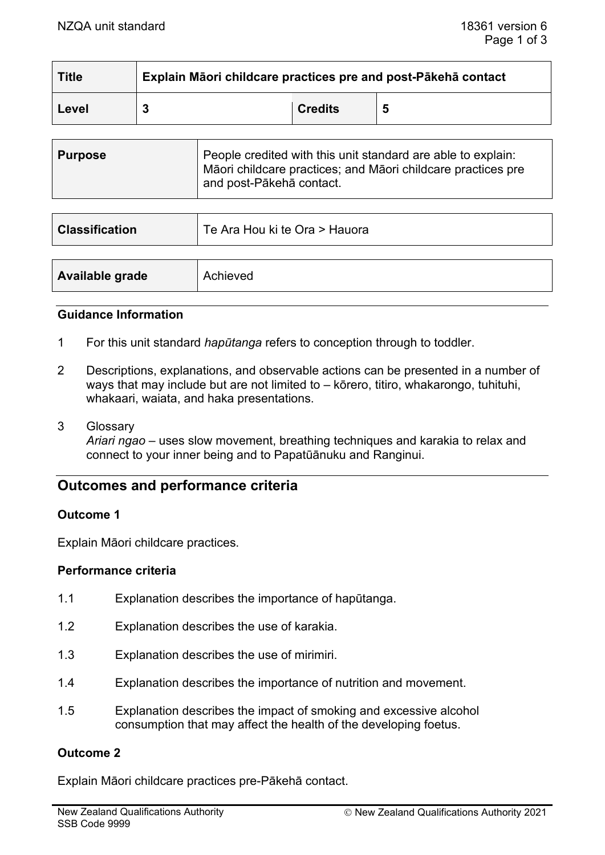| <b>Title</b> | Explain Māori childcare practices pre and post-Pākehā contact |                |   |
|--------------|---------------------------------------------------------------|----------------|---|
| Level        |                                                               | <b>Credits</b> | 5 |

| <b>Purpose</b> | People credited with this unit standard are able to explain:<br>Māori childcare practices; and Māori childcare practices pre<br>and post-Pākehā contact. |
|----------------|----------------------------------------------------------------------------------------------------------------------------------------------------------|
|----------------|----------------------------------------------------------------------------------------------------------------------------------------------------------|

| <b>Classification</b> | Te Ara Hou ki te Ora > Hauora |
|-----------------------|-------------------------------|
|                       |                               |
| Available grade       | Achieved                      |

#### **Guidance Information**

- 1 For this unit standard *hapūtanga* refers to conception through to toddler.
- 2 Descriptions, explanations, and observable actions can be presented in a number of ways that may include but are not limited to – kōrero, titiro, whakarongo, tuhituhi, whakaari, waiata, and haka presentations.
- 3 Glossary

*Ariari ngao –* uses slow movement, breathing techniques and karakia to relax and connect to your inner being and to Papatūānuku and Ranginui.

# **Outcomes and performance criteria**

### **Outcome 1**

Explain Māori childcare practices.

#### **Performance criteria**

- 1.1 Explanation describes the importance of hapūtanga.
- 1.2 Explanation describes the use of karakia.
- 1.3 Explanation describes the use of mirimiri.
- 1.4 Explanation describes the importance of nutrition and movement.
- 1.5 Explanation describes the impact of smoking and excessive alcohol consumption that may affect the health of the developing foetus.

### **Outcome 2**

Explain Māori childcare practices pre-Pākehā contact.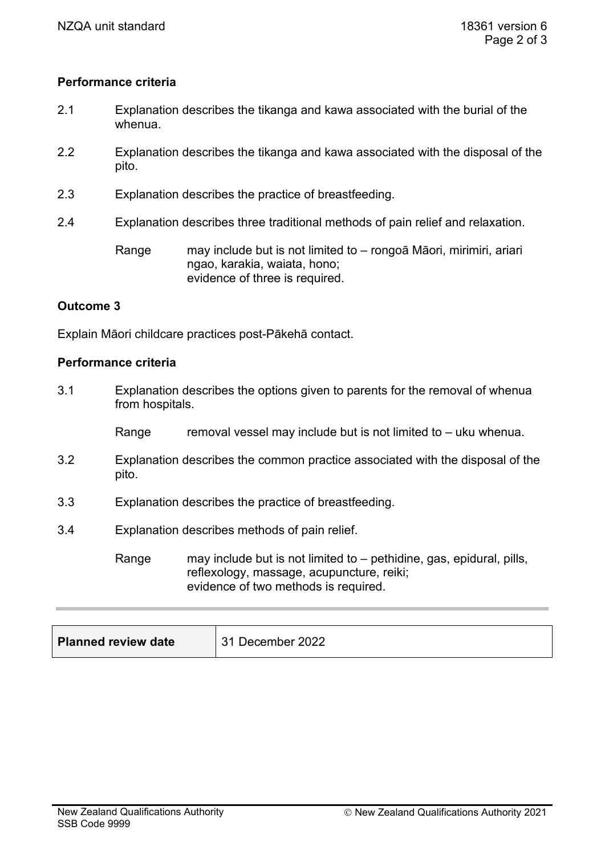## **Performance criteria**

- 2.1 Explanation describes the tikanga and kawa associated with the burial of the whenua.
- 2.2 Explanation describes the tikanga and kawa associated with the disposal of the pito.
- 2.3 Explanation describes the practice of breastfeeding.
- 2.4 Explanation describes three traditional methods of pain relief and relaxation.

Range may include but is not limited to – rongoā Māori, mirimiri, ariari ngao, karakia, waiata, hono; evidence of three is required.

### **Outcome 3**

Explain Māori childcare practices post-Pākehā contact.

#### **Performance criteria**

3.1 Explanation describes the options given to parents for the removal of whenua from hospitals. Range removal vessel may include but is not limited to  $-$  uku whenua. 3.2 Explanation describes the common practice associated with the disposal of the pito. 3.3 Explanation describes the practice of breastfeeding. 3.4 Explanation describes methods of pain relief.

Range may include but is not limited to – pethidine, gas, epidural, pills, reflexology, massage, acupuncture, reiki; evidence of two methods is required.

| <b>Planned review date</b> | 31 December 2022 |
|----------------------------|------------------|
|----------------------------|------------------|